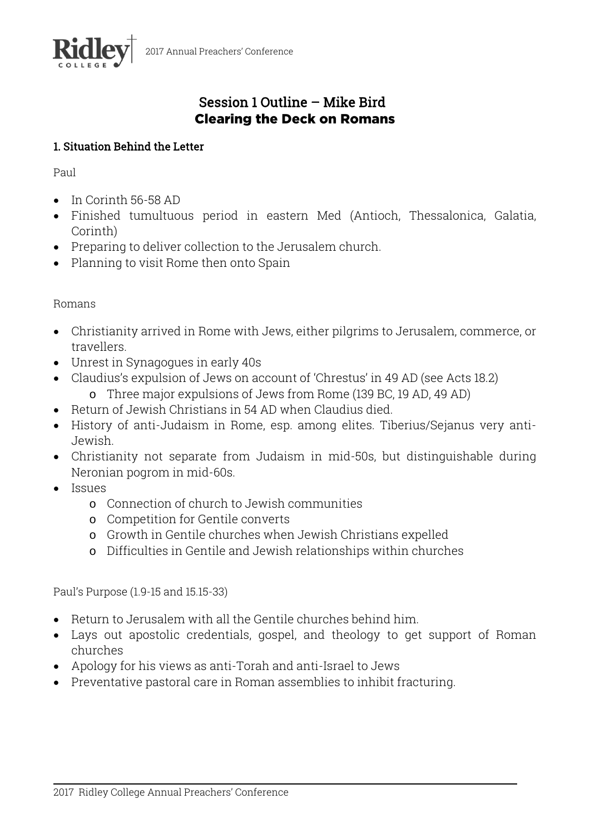

# Session 1 Outline – Mike Bird Clearing the Deck on Romans

# 1. Situation Behind the Letter

Paul

- In Corinth 56-58 AD
- Finished tumultuous period in eastern Med (Antioch, Thessalonica, Galatia, Corinth)
- Preparing to deliver collection to the Jerusalem church.
- Planning to visit Rome then onto Spain

# Romans

- Christianity arrived in Rome with Jews, either pilgrims to Jerusalem, commerce, or travellers.
- Unrest in Synagogues in early 40s
- Claudius's expulsion of Jews on account of 'Chrestus' in 49 AD (see Acts 18.2)
	- o Three major expulsions of Jews from Rome (139 BC, 19 AD, 49 AD)
- Return of Jewish Christians in 54 AD when Claudius died.
- History of anti-Judaism in Rome, esp. among elites. Tiberius/Sejanus very anti-Jewish.
- Christianity not separate from Judaism in mid-50s, but distinguishable during Neronian pogrom in mid-60s.
- Issues
	- o Connection of church to Jewish communities
	- o Competition for Gentile converts
	- o Growth in Gentile churches when Jewish Christians expelled
	- o Difficulties in Gentile and Jewish relationships within churches

Paul's Purpose (1.9-15 and 15.15-33)

- Return to Jerusalem with all the Gentile churches behind him.
- Lays out apostolic credentials, gospel, and theology to get support of Roman churches
- Apology for his views as anti-Torah and anti-Israel to Jews
- Preventative pastoral care in Roman assemblies to inhibit fracturing.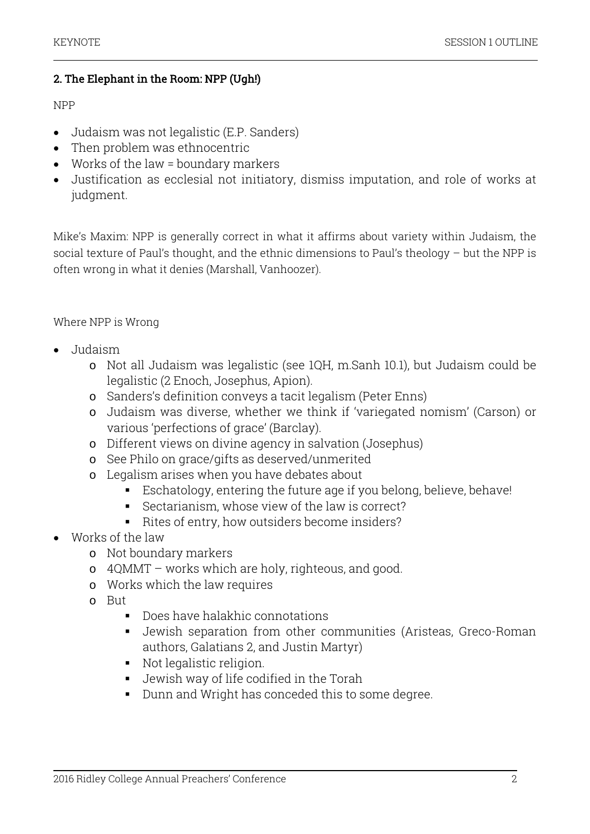### 2. The Elephant in the Room: NPP (Ugh!)

#### NPP

- Judaism was not legalistic (E.P. Sanders)
- Then problem was ethnocentric
- Works of the law = boundary markers
- Justification as ecclesial not initiatory, dismiss imputation, and role of works at judgment.

Mike's Maxim: NPP is generally correct in what it affirms about variety within Judaism, the social texture of Paul's thought, and the ethnic dimensions to Paul's theology – but the NPP is often wrong in what it denies (Marshall, Vanhoozer).

### Where NPP is Wrong

- Judaism
	- o Not all Judaism was legalistic (see 1QH, m.Sanh 10.1), but Judaism could be legalistic (2 Enoch, Josephus, Apion).
	- o Sanders's definition conveys a tacit legalism (Peter Enns)
	- o Judaism was diverse, whether we think if 'variegated nomism' (Carson) or various 'perfections of grace' (Barclay).
	- o Different views on divine agency in salvation (Josephus)
	- o See Philo on grace/gifts as deserved/unmerited
	- o Legalism arises when you have debates about
		- Eschatology, entering the future age if you belong, believe, behave!
		- Sectarianism, whose view of the law is correct?
		- Rites of entry, how outsiders become insiders?
- Works of the law
	- o Not boundary markers
	- o 4QMMT works which are holy, righteous, and good.
	- o Works which the law requires
	- o But
		- Does have halakhic connotations
		- Jewish separation from other communities (Aristeas, Greco-Roman authors, Galatians 2, and Justin Martyr)
		- Not legalistic religion.
		- Jewish way of life codified in the Torah
		- Dunn and Wright has conceded this to some degree.